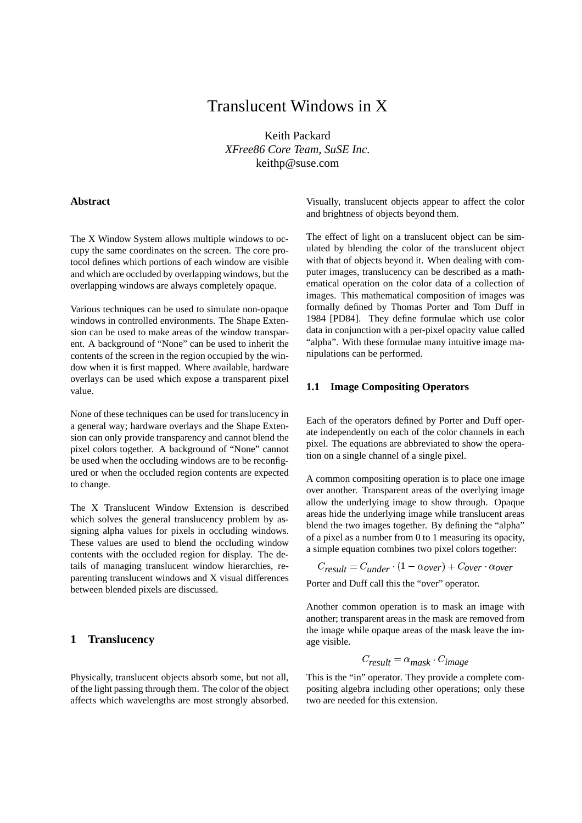# Translucent Windows in X

Keith Packard *XFree86 Core Team, SuSE Inc.* keithp@suse.com

### **Abstract**

The X Window System allows multiple windows to occupy the same coordinates on the screen. The core protocol defines which portions of each window are visible and which are occluded by overlapping windows, but the overlapping windows are always completely opaque.

Various techniques can be used to simulate non-opaque windows in controlled environments. The Shape Extension can be used to make areas of the window transparent. A background of "None" can be used to inherit the contents of the screen in the region occupied by the window when it is first mapped. Where available, hardware overlays can be used which expose a transparent pixel value.

None of these techniques can be used for translucency in a general way; hardware overlays and the Shape Extension can only provide transparency and cannot blend the pixel colors together. A background of "None" cannot be used when the occluding windows are to be reconfigured or when the occluded region contents are expected to change.

The X Translucent Window Extension is described which solves the general translucency problem by assigning alpha values for pixels in occluding windows. These values are used to blend the occluding window contents with the occluded region for display. The details of managing translucent window hierarchies, reparenting translucent windows and X visual differences between blended pixels are discussed.

### **1 Translucency**

Physically, translucent objects absorb some, but not all, of the light passing through them. The color of the object affects which wavelengths are most strongly absorbed. Visually, translucent objects appear to affect the color and brightness of objects beyond them.

The effect of light on a translucent object can be simulated by blending the color of the translucent object with that of objects beyond it. When dealing with computer images, translucency can be described as a mathematical operation on the color data of a collection of images. This mathematical composition of images was formally defined by Thomas Porter and Tom Duff in 1984 [PD84]. They define formulae which use color data in conjunction with a per-pixel opacity value called "alpha". With these formulae many intuitive image manipulations can be performed.

### **1.1 Image Compositing Operators**

Each of the operators defined by Porter and Duff operate independently on each of the color channels in each pixel. The equations are abbreviated to show the operation on a single channel of a single pixel.

A common compositing operation is to place one image over another. Transparent areas of the overlying image allow the underlying image to show through. Opaque areas hide the underlying image while translucent areas blend the two images together. By defining the "alpha" of a pixel as a number from 0 to 1 measuring its opacity, a simple equation combines two pixel colors together:

 $C_{result} = C_{under} \cdot (1 - \alpha_{over}) + C_{over} \cdot \alpha_{over}$ 

Porter and Duff call this the "over" operator.

Another common operation is to mask an image with another; transparent areas in the mask are removed from the image while opaque areas of the mask leave the image visible.

$$
C_{result} = \alpha_{mask} \cdot C_{image}
$$

This is the "in" operator. They provide a complete compositing algebra including other operations; only these two are needed for this extension.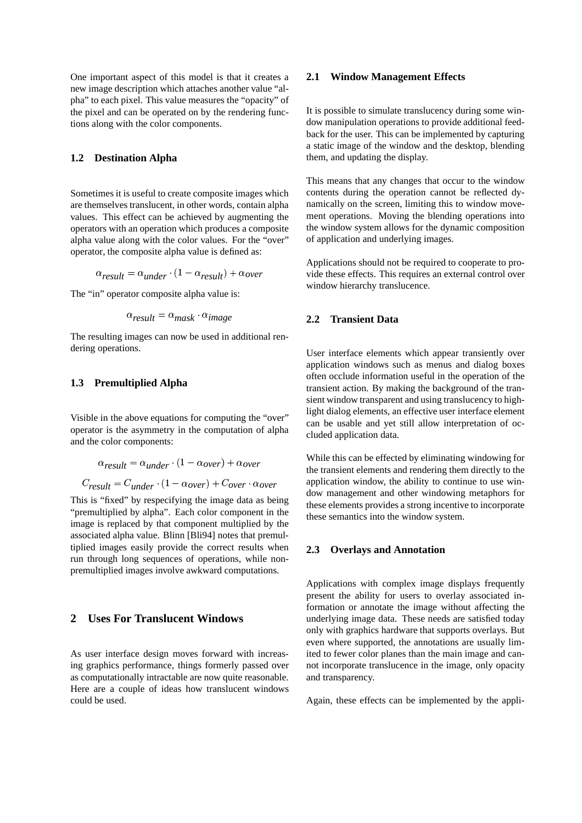One important aspect of this model is that it creates a new image description which attaches another value "alpha" to each pixel. This value measures the "opacity" of the pixel and can be operated on by the rendering functions along with the color components.

#### **1.2 Destination Alpha**

Sometimes it is useful to create composite images which are themselves translucent, in other words, contain alpha values. This effect can be achieved by augmenting the operators with an operation which produces a composite alpha value along with the color values. For the "over" operator, the composite alpha value is defined as:

$$
\alpha_{result} = \alpha_{under} \cdot (1 - \alpha_{result}) + \alpha_{over}
$$

The "in" operator composite alpha value is:

$$
\alpha_{result} = \alpha_{mask} \cdot \alpha_{image}
$$

The resulting images can now be used in additional rendering operations.

### **1.3 Premultiplied Alpha**

Visible in the above equations for computing the "over" operator is the asymmetry in the computation of alpha and the color components:

$$
\alpha_{result} = \alpha_{under} \cdot (1 - \alpha_{over}) + \alpha_{over}
$$
  

$$
C_{result} = C_{under} \cdot (1 - \alpha_{over}) + C_{over} \cdot \alpha_{over}
$$

This is "fixed" by respecifying the image data as being "premultiplied by alpha". Each color component in the image is replaced by that component multiplied by the associated alpha value. Blinn [Bli94] notes that premultiplied images easily provide the correct results when run through long sequences of operations, while nonpremultiplied images involve awkward computations.

# **2 Uses For Translucent Windows**

As user interface design moves forward with increasing graphics performance, things formerly passed over as computationally intractable are now quite reasonable. Here are a couple of ideas how translucent windows could be used.

### **2.1 Window Management Effects**

It is possible to simulate translucency during some window manipulation operations to provide additional feedback for the user. This can be implemented by capturing a static image of the window and the desktop, blending them, and updating the display.

This means that any changes that occur to the window contents during the operation cannot be reflected dynamically on the screen, limiting this to window movement operations. Moving the blending operations into the window system allows for the dynamic composition of application and underlying images.

Applications should not be required to cooperate to provide these effects. This requires an external control over window hierarchy translucence.

### **2.2 Transient Data**

User interface elements which appear transiently over application windows such as menus and dialog boxes often occlude information useful in the operation of the transient action. By making the background of the transient window transparent and using translucency to highlight dialog elements, an effective user interface element can be usable and yet still allow interpretation of occluded application data.

While this can be effected by eliminating windowing for the transient elements and rendering them directly to the application window, the ability to continue to use window management and other windowing metaphors for these elements provides a strong incentive to incorporate these semantics into the window system.

## **2.3 Overlays and Annotation**

Applications with complex image displays frequently present the ability for users to overlay associated information or annotate the image without affecting the underlying image data. These needs are satisfied today only with graphics hardware that supports overlays. But even where supported, the annotations are usually limited to fewer color planes than the main image and cannot incorporate translucence in the image, only opacity and transparency.

Again, these effects can be implemented by the appli-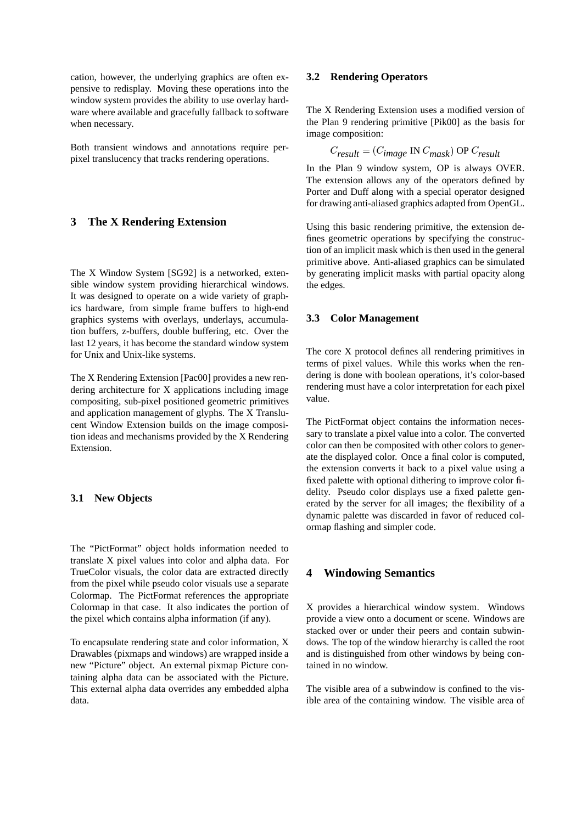cation, however, the underlying graphics are often expensive to redisplay. Moving these operations into the window system provides the ability to use overlay hardware where available and gracefully fallback to software when necessary.

Both transient windows and annotations require perpixel translucency that tracks rendering operations.

# **3 The X Rendering Extension**

The X Window System [SG92] is a networked, extensible window system providing hierarchical windows. It was designed to operate on a wide variety of graphics hardware, from simple frame buffers to high-end graphics systems with overlays, underlays, accumulation buffers, z-buffers, double buffering, etc. Over the last 12 years, it has become the standard window system for Unix and Unix-like systems.

The X Rendering Extension [Pac00] provides a new rendering architecture for X applications including image compositing, sub-pixel positioned geometric primitives and application management of glyphs. The X Translucent Window Extension builds on the image composition ideas and mechanisms provided by the X Rendering Extension.

### **3.1 New Objects**

The "PictFormat" object holds information needed to translate X pixel values into color and alpha data. For TrueColor visuals, the color data are extracted directly from the pixel while pseudo color visuals use a separate Colormap. The PictFormat references the appropriate Colormap in that case. It also indicates the portion of the pixel which contains alpha information (if any).

To encapsulate rendering state and color information, X Drawables (pixmaps and windows) are wrapped inside a new "Picture" object. An external pixmap Picture containing alpha data can be associated with the Picture. This external alpha data overrides any embedded alpha data.

### **3.2 Rendering Operators**

The X Rendering Extension uses a modified version of the Plan 9 rendering primitive [Pik00] as the basis for image composition:

$$
C_{result} = (C_{image} \text{ IN } C_{mask}) \text{ OP } C_{result}
$$

In the Plan 9 window system, OP is always OVER. The extension allows any of the operators defined by Porter and Duff along with a special operator designed for drawing anti-aliased graphics adapted from OpenGL.

Using this basic rendering primitive, the extension defines geometric operations by specifying the construction of an implicit mask which is then used in the general primitive above. Anti-aliased graphics can be simulated by generating implicit masks with partial opacity along the edges.

### **3.3 Color Management**

The core X protocol defines all rendering primitives in terms of pixel values. While this works when the rendering is done with boolean operations, it's color-based rendering must have a color interpretation for each pixel value.

The PictFormat object contains the information necessary to translate a pixel value into a color. The converted color can then be composited with other colors to generate the displayed color. Once a final color is computed, the extension converts it back to a pixel value using a fixed palette with optional dithering to improve color fidelity. Pseudo color displays use a fixed palette generated by the server for all images; the flexibility of a dynamic palette was discarded in favor of reduced colormap flashing and simpler code.

### **4 Windowing Semantics**

X provides a hierarchical window system. Windows provide a view onto a document or scene. Windows are stacked over or under their peers and contain subwindows. The top of the window hierarchy is called the root and is distinguished from other windows by being contained in no window.

The visible area of a subwindow is confined to the visible area of the containing window. The visible area of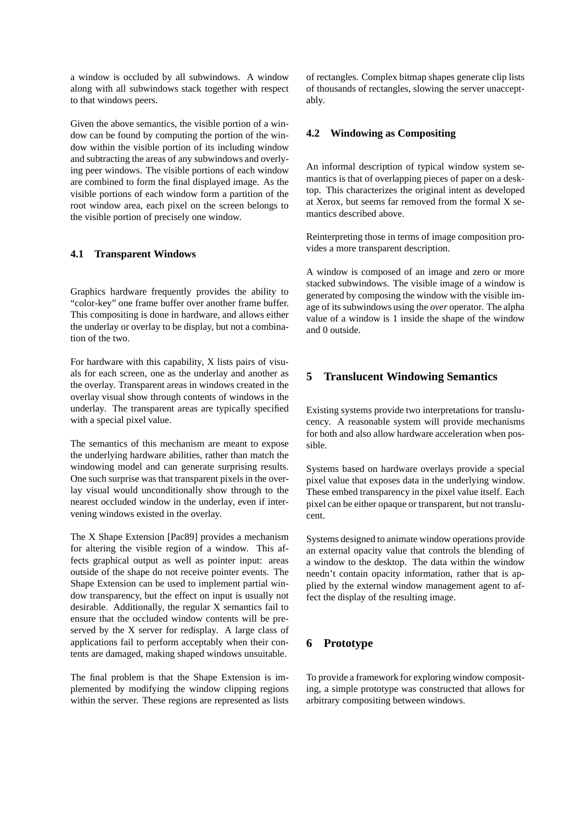a window is occluded by all subwindows. A window along with all subwindows stack together with respect to that windows peers.

Given the above semantics, the visible portion of a window can be found by computing the portion of the window within the visible portion of its including window and subtracting the areas of any subwindows and overlying peer windows. The visible portions of each window are combined to form the final displayed image. As the visible portions of each window form a partition of the root window area, each pixel on the screen belongs to the visible portion of precisely one window.

## **4.1 Transparent Windows**

Graphics hardware frequently provides the ability to "color-key" one frame buffer over another frame buffer. This compositing is done in hardware, and allows either the underlay or overlay to be display, but not a combination of the two.

For hardware with this capability, X lists pairs of visuals for each screen, one as the underlay and another as the overlay. Transparent areas in windows created in the overlay visual show through contents of windows in the underlay. The transparent areas are typically specified with a special pixel value.

The semantics of this mechanism are meant to expose the underlying hardware abilities, rather than match the windowing model and can generate surprising results. One such surprise was that transparent pixels in the overlay visual would unconditionally show through to the nearest occluded window in the underlay, even if intervening windows existed in the overlay.

The X Shape Extension [Pac89] provides a mechanism for altering the visible region of a window. This affects graphical output as well as pointer input: areas outside of the shape do not receive pointer events. The Shape Extension can be used to implement partial window transparency, but the effect on input is usually not desirable. Additionally, the regular X semantics fail to ensure that the occluded window contents will be preserved by the X server for redisplay. A large class of applications fail to perform acceptably when their contents are damaged, making shaped windows unsuitable.

The final problem is that the Shape Extension is implemented by modifying the window clipping regions within the server. These regions are represented as lists of rectangles. Complex bitmap shapes generate clip lists of thousands of rectangles, slowing the server unacceptably.

## **4.2 Windowing as Compositing**

An informal description of typical window system semantics is that of overlapping pieces of paper on a desktop. This characterizes the original intent as developed at Xerox, but seems far removed from the formal X semantics described above.

Reinterpreting those in terms of image composition provides a more transparent description.

A window is composed of an image and zero or more stacked subwindows. The visible image of a window is generated by composing the window with the visible image of its subwindows using the *over* operator. The alpha value of a window is 1 inside the shape of the window and 0 outside.

# **5 Translucent Windowing Semantics**

Existing systems provide two interpretations for translucency. A reasonable system will provide mechanisms for both and also allow hardware acceleration when possible.

Systems based on hardware overlays provide a special pixel value that exposes data in the underlying window. These embed transparency in the pixel value itself. Each pixel can be either opaque or transparent, but not translucent.

Systems designed to animate window operations provide an external opacity value that controls the blending of a window to the desktop. The data within the window needn't contain opacity information, rather that is applied by the external window management agent to affect the display of the resulting image.

# **6 Prototype**

To provide a framework for exploring window compositing, a simple prototype was constructed that allows for arbitrary compositing between windows.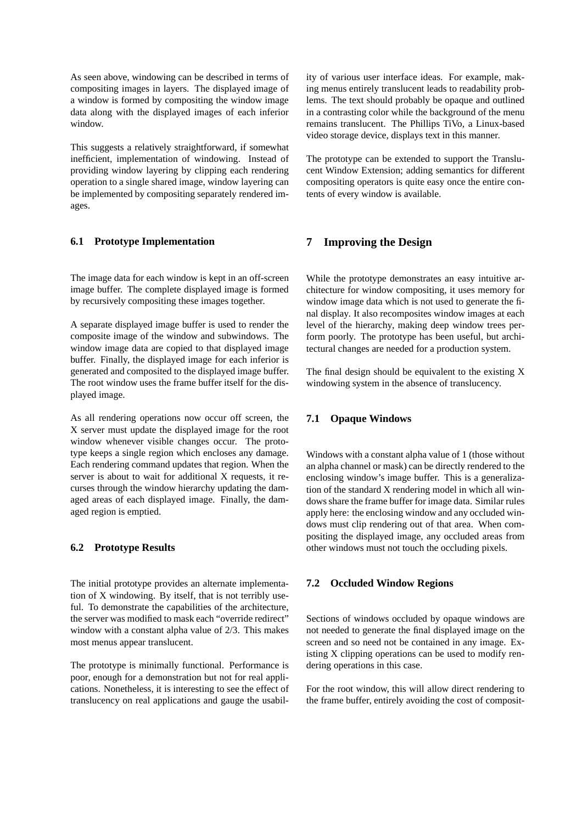As seen above, windowing can be described in terms of compositing images in layers. The displayed image of a window is formed by compositing the window image data along with the displayed images of each inferior window.

This suggests a relatively straightforward, if somewhat inefficient, implementation of windowing. Instead of providing window layering by clipping each rendering operation to a single shared image, window layering can be implemented by compositing separately rendered images.

### **6.1 Prototype Implementation**

The image data for each window is kept in an off-screen image buffer. The complete displayed image is formed by recursively compositing these images together.

A separate displayed image buffer is used to render the composite image of the window and subwindows. The window image data are copied to that displayed image buffer. Finally, the displayed image for each inferior is generated and composited to the displayed image buffer. The root window uses the frame buffer itself for the displayed image.

As all rendering operations now occur off screen, the X server must update the displayed image for the root window whenever visible changes occur. The prototype keeps a single region which encloses any damage. Each rendering command updates that region. When the server is about to wait for additional X requests, it recurses through the window hierarchy updating the damaged areas of each displayed image. Finally, the damaged region is emptied.

### **6.2 Prototype Results**

The initial prototype provides an alternate implementation of X windowing. By itself, that is not terribly useful. To demonstrate the capabilities of the architecture, the server was modified to mask each "override redirect" window with a constant alpha value of 2/3. This makes most menus appear translucent.

The prototype is minimally functional. Performance is poor, enough for a demonstration but not for real applications. Nonetheless, it is interesting to see the effect of translucency on real applications and gauge the usability of various user interface ideas. For example, making menus entirely translucent leads to readability problems. The text should probably be opaque and outlined in a contrasting color while the background of the menu remains translucent. The Phillips TiVo, a Linux-based video storage device, displays text in this manner.

The prototype can be extended to support the Translucent Window Extension; adding semantics for different compositing operators is quite easy once the entire contents of every window is available.

# **7 Improving the Design**

While the prototype demonstrates an easy intuitive architecture for window compositing, it uses memory for window image data which is not used to generate the final display. It also recomposites window images at each level of the hierarchy, making deep window trees perform poorly. The prototype has been useful, but architectural changes are needed for a production system.

The final design should be equivalent to the existing X windowing system in the absence of translucency.

### **7.1 Opaque Windows**

Windows with a constant alpha value of 1 (those without an alpha channel or mask) can be directly rendered to the enclosing window's image buffer. This is a generalization of the standard X rendering model in which all windowsshare the frame buffer for image data. Similar rules apply here: the enclosing window and any occluded windows must clip rendering out of that area. When compositing the displayed image, any occluded areas from other windows must not touch the occluding pixels.

### **7.2 Occluded Window Regions**

Sections of windows occluded by opaque windows are not needed to generate the final displayed image on the screen and so need not be contained in any image. Existing X clipping operations can be used to modify rendering operations in this case.

For the root window, this will allow direct rendering to the frame buffer, entirely avoiding the cost of composit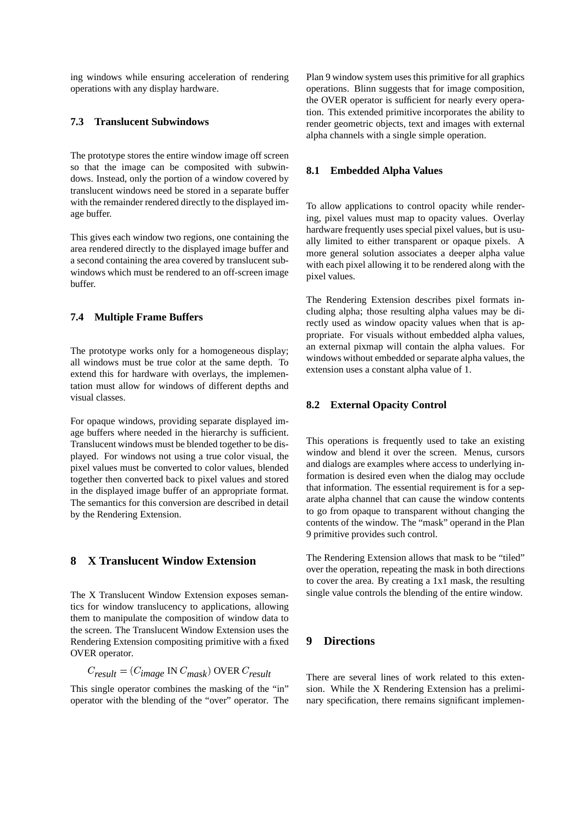ing windows while ensuring acceleration of rendering operations with any display hardware.

### **7.3 Translucent Subwindows**

The prototype stores the entire window image off screen so that the image can be composited with subwindows. Instead, only the portion of a window covered by translucent windows need be stored in a separate buffer with the remainder rendered directly to the displayed image buffer.

This gives each window two regions, one containing the area rendered directly to the displayed image buffer and a second containing the area covered by translucent subwindows which must be rendered to an off-screen image buffer.

### **7.4 Multiple Frame Buffers**

The prototype works only for a homogeneous display; all windows must be true color at the same depth. To extend this for hardware with overlays, the implementation must allow for windows of different depths and visual classes.

For opaque windows, providing separate displayed image buffers where needed in the hierarchy is sufficient. Translucent windows must be blended together to be displayed. For windows not using a true color visual, the pixel values must be converted to color values, blended together then converted back to pixel values and stored in the displayed image buffer of an appropriate format. The semantics for this conversion are described in detail by the Rendering Extension.

# **8 X Translucent Window Extension**

The X Translucent Window Extension exposes semantics for window translucency to applications, allowing them to manipulate the composition of window data to the screen. The Translucent Window Extension uses the Rendering Extension compositing primitive with a fixed OVER operator.

$$
C_{result} = (C_{image} \text{ IN } C_{mask}) \text{ OVER } C_{result}
$$

This single operator combines the masking of the "in" operator with the blending of the "over" operator. The Plan 9 window system uses this primitive for all graphics operations. Blinn suggests that for image composition, the OVER operator is sufficient for nearly every operation. This extended primitive incorporates the ability to render geometric objects, text and images with external alpha channels with a single simple operation.

### **8.1 Embedded Alpha Values**

To allow applications to control opacity while rendering, pixel values must map to opacity values. Overlay hardware frequently uses special pixel values, but is usually limited to either transparent or opaque pixels. A more general solution associates a deeper alpha value with each pixel allowing it to be rendered along with the pixel values.

The Rendering Extension describes pixel formats including alpha; those resulting alpha values may be directly used as window opacity values when that is appropriate. For visuals without embedded alpha values, an external pixmap will contain the alpha values. For windows without embedded or separate alpha values, the extension uses a constant alpha value of 1.

#### **8.2 External Opacity Control**

This operations is frequently used to take an existing window and blend it over the screen. Menus, cursors and dialogs are examples where access to underlying information is desired even when the dialog may occlude that information. The essential requirement is for a separate alpha channel that can cause the window contents to go from opaque to transparent without changing the contents of the window. The "mask" operand in the Plan 9 primitive provides such control.

The Rendering Extension allows that mask to be "tiled" over the operation, repeating the mask in both directions to cover the area. By creating a 1x1 mask, the resulting single value controls the blending of the entire window.

# **9 Directions**

There are several lines of work related to this extension. While the X Rendering Extension has a preliminary specification, there remains significant implemen